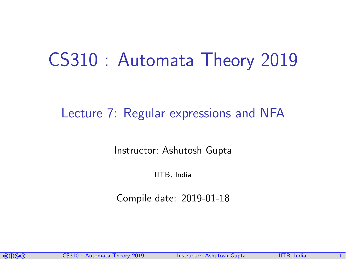# CS310 : Automata Theory 2019

### Lecture 7: Regular expressions and NFA

Instructor: [Ashutosh Gupta](http://www.cse.iitb.ac.in/~akg/)

IITB, India

Compile date: 2019-01-18

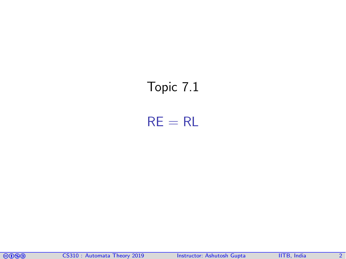## <span id="page-1-0"></span>Topic 7.1

 $RE = RL$ 

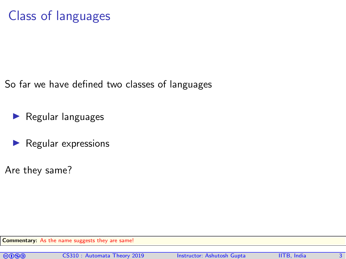So far we have defined two classes of languages

- $\blacktriangleright$  Regular languages
- $\blacktriangleright$  Regular expressions
- Are they same?

Commentary: As the name suggests they are same!

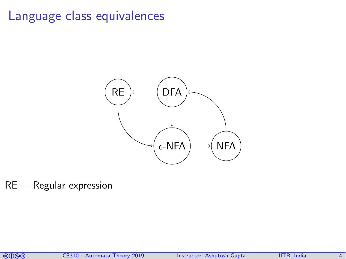### Language class equivalences



 $RE = Regular$  expression

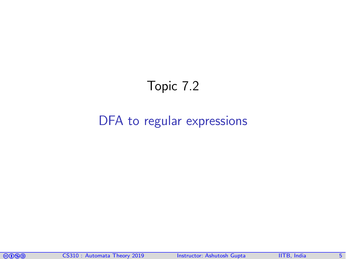### Topic 7.2

### <span id="page-4-0"></span>[DFA to regular expressions](#page-4-0)

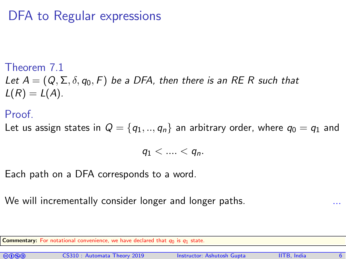#### Theorem 7.1

Let  $A = (Q, \Sigma, \delta, q_0, F)$  be a DFA, then there is an RE R such that  $L(R) = L(A)$ .

### Proof.

Let us assign states in  $Q = \{q_1, ..., q_n\}$  an arbitrary order, where  $q_0 = q_1$  and

 $q_1 < ... < q_n$ .

Each path on a DFA corresponds to a word.

We will incrementally consider longer and longer paths.

Commentary: For notational convenience, we have declared that  $q_0$  is  $q_1$  state.

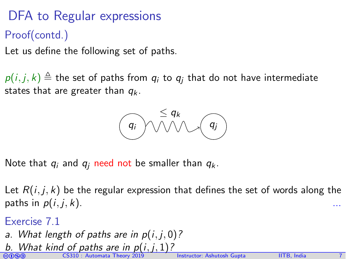- Proof(contd.)
- Let us define the following set of paths.

 $p(i, j, k) \triangleq$  the set of paths from  $q_i$  to  $q_j$  that do not have intermediate states that are greater than  $q_k$ .

$$
\begin{array}{c}\n\leq q_k \\
\hline\nq\n\end{array}
$$

Note that  $q_i$  and  $q_i$  need not be smaller than  $q_k$ .

Let  $R(i, j, k)$  be the regular expression that defines the set of words along the paths in  $p(i, j, k)$ .

- Exercise 7.1
- a. What length of paths are in  $p(i, j, 0)$ ?
- **b.** What kind of paths are in  $p(i, j, 1)$ ?<br>©0©© CS310 : Automata Theory 2019 Instructor: [Ashutosh Gupta](http://www.cse.iitb.ac.in/~akg/) IITB, India 7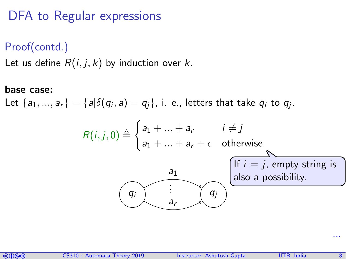Proof(contd.)

Let us define  $R(i, j, k)$  by induction over k.

base case:

Let  $\{a_1,...,a_r\}=\{a|\delta(q_i,a)=q_j\}$ , i. e., letters that take  $q_i$  to  $q_j$ .

$$
R(i, j, 0) \triangleq \begin{cases} a_1 + ... + a_r & i \neq j \\ a_1 + ... + a_r + \epsilon & \text{otherwise} \end{cases}
$$
  

$$
\underbrace{a_1}_{a_r} \qquad \qquad \text{if } i = j, \text{ empty string is} \text{ also a possibility.}
$$



...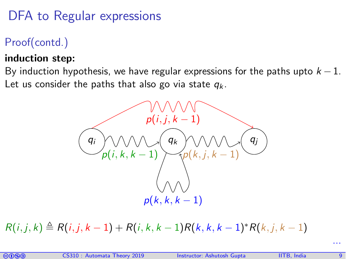### Proof(contd.)

### induction step:

By induction hypothesis, we have regular expressions for the paths upto  $k - 1$ . Let us consider the paths that also go via state  $q_k$ .



 $R(i, j, k) \triangleq R(i, j, k - 1) + R(i, k, k - 1)R(k, k, k - 1)^*R(k, j, k - 1)$ 

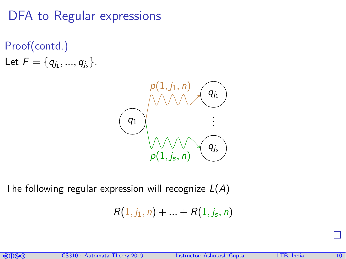Proof(contd.)

Let  $F = \{q_{j_1}, ..., q_{j_s}\}.$ 



The following regular expression will recognize  $L(A)$ 

$$
R(1, j_1, n) + \ldots + R(1, j_s, n)
$$

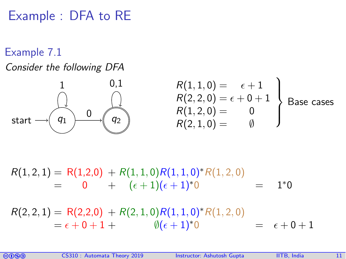Example : DFA to RE

### Example 7.1

### Consider the following DFA



$$
\begin{array}{ccc}\n1 & 0.1 & R(1,1,0) = \epsilon + 1 \\
R(2,2,0) = \epsilon + 0 + 1 \\
R(1,2,0) = \begin{array}{c}\n0 \\
0 \\
R(2,1,0) = \begin{array}{c}\n0 \\
0 \\
0\n\end{array}\n\end{array}
$$
\nBase cases

 $R(1, 2, 1) = R(1, 2, 0) + R(1, 1, 0)R(1, 1, 0)$ \* $R(1, 2, 0)$  $= 0 + (\epsilon + 1)(\epsilon + 1)^*0 = 1^*0$ 

 $R(2, 2, 1) = R(2, 2, 0) + R(2, 1, 0)R(1, 1, 0)R(1, 2, 0)$  $= \epsilon + 0 + 1 + \qquad \qquad \emptyset (\epsilon + 1)^* 0 \qquad \qquad = \epsilon + 0 + 1$ 

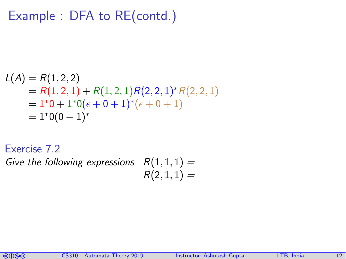### Example : DFA to RE(contd.)

$$
L(A) = R(1,2,2)
$$
  
= R(1,2,1) + R(1,2,1)R(2,2,1)\*R(2,2,1)  
= 1\*0 + 1\*0( $\epsilon$  + 0 + 1)\*( $\epsilon$  + 0 + 1)  
= 1\*0(0 + 1)\*

Exercise 7.2

Give the following expressions  $R(1,1,1) =$  $R(2, 1, 1) =$ 

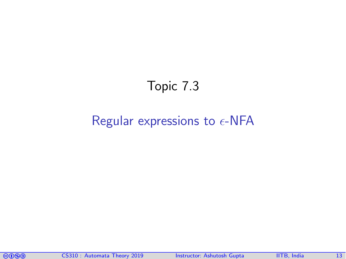### Topic 7.3

### <span id="page-12-0"></span>[Regular expressions to](#page-12-0)  $\epsilon$ -NFA

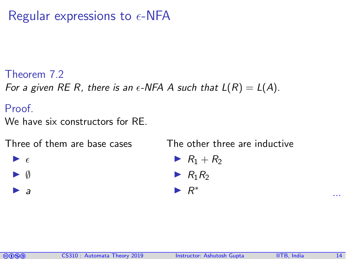### Regular expressions to  $\epsilon$ -NFA

Theorem 7.2

For a given RE R, there is an  $\epsilon$ -NFA A such that  $L(R) = L(A)$ .

**Proof** 

 $\blacktriangleright$   $\epsilon$  $\blacktriangleright$  0  $\blacktriangleright$  a

We have six constructors for RE.

Three of them are base cases

The other three are inductive

$$
\blacktriangleright R_1 + R_2
$$

$$
\blacktriangleright R_1R_2
$$

$$
\blacktriangleright R^*
$$

...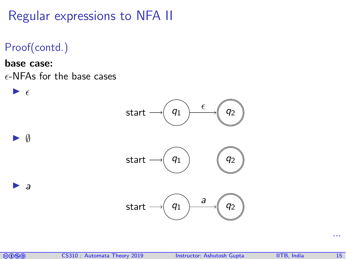Regular expressions to NFA II

- Proof(contd.)
- base case:  $\epsilon$ -NFAs for the base cases





...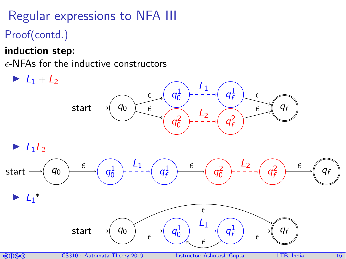# Regular expressions to NFA III

- Proof(contd.)
- induction step:
- $\epsilon$ -NFAs for the inductive constructors







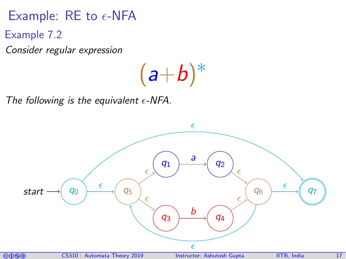### Example: RE to  $\epsilon$ -NFA

Example 7.2

Consider regular expression

 $(a+b)^*$ 

The following is the equivalent  $\epsilon$ -NFA.

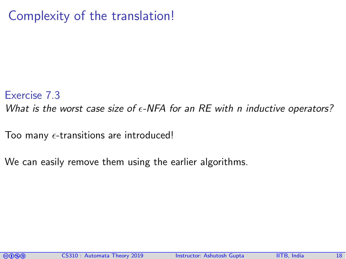### Complexity of the translation!

#### Exercise 7.3

What is the worst case size of  $\epsilon$ -NFA for an RE with n inductive operators?

Too many  $\epsilon$ -transitions are introduced!

We can easily remove them using the earlier algorithms.

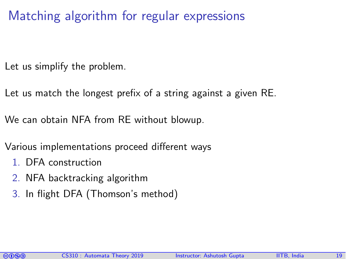Matching algorithm for regular expressions

Let us simplify the problem.

Let us match the longest prefix of a string against a given RE.

We can obtain NFA from RE without blowup.

Various implementations proceed different ways

- 1. DFA construction
- 2. NFA backtracking algorithm
- 3. In flight DFA (Thomson's method)

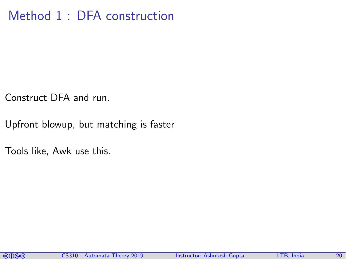### Method 1 : DFA construction

Construct DFA and run.

Upfront blowup, but matching is faster

Tools like, Awk use this.

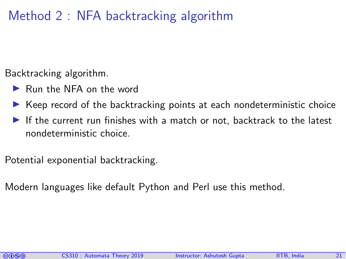### Method 2 : NFA backtracking algorithm

Backtracking algorithm.

- ▶ Run the NFA on the word
- $\triangleright$  Keep record of the backtracking points at each nondeterministic choice
- If the current run finishes with a match or not, backtrack to the latest nondeterministic choice.

Potential exponential backtracking.

Modern languages like default Python and Perl use this method.

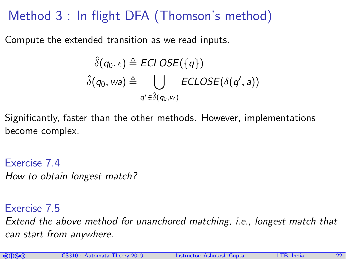## Method 3 : In flight DFA (Thomson's method)

Compute the extended transition as we read inputs.

$$
\hat{\delta}(q_0, \epsilon) \triangleq ECLOSE(\lbrace q \rbrace)
$$
  

$$
\hat{\delta}(q_0, wa) \triangleq \bigcup_{q' \in \hat{\delta}(q_0, w)} ECLOSE(\delta(q', a))
$$

Significantly, faster than the other methods. However, implementations become complex.

Exercise 7.4 How to obtain longest match?

Exercise 7.5

Extend the above method for unanchored matching, i.e., longest match that can start from anywhere.